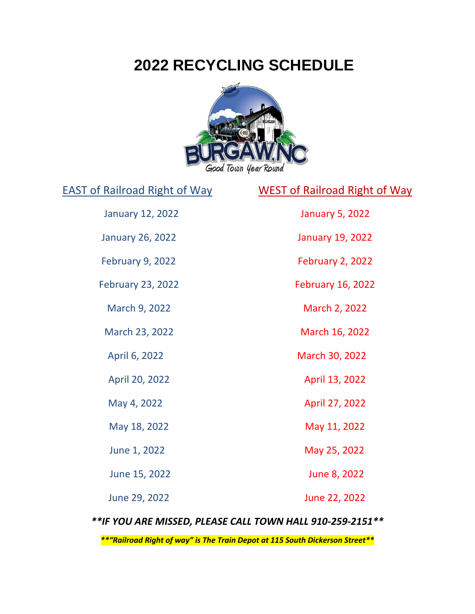## **2022 RECYCLING SCHEDULE**



January 12, 2022 January 5, 2022

March 9, 2022 March 2, 2022

EAST of Railroad Right of Way WEST of Railroad Right of Way

January 26, 2022 January 19, 2022

February 9, 2022 February 2, 2022

February 23, 2022 February 16, 2022

March 23, 2022 March 16, 2022

April 6, 2022 March 30, 2022

April 20, 2022 April 13, 2022

May 4, 2022 **April 27, 2022** 

May 18, 2022 May 11, 2022

June 1, 2022 May 25, 2022

June 15, 2022 June 8, 2022

June 29, 2022 June 22, 2022

*\*\*IF YOU ARE MISSED, PLEASE CALL TOWN HALL 910-259-2151\*\**

*\*\*"Railroad Right of way" is The Train Depot at 115 South Dickerson Street\*\**